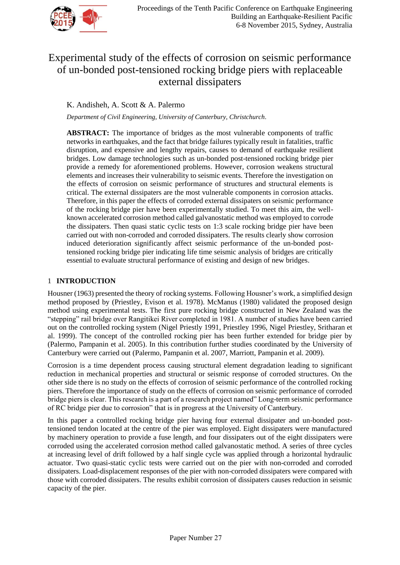

# Experimental study of the effects of corrosion on seismic performance of un-bonded post-tensioned rocking bridge piers with replaceable external dissipaters

K. Andisheh, A. Scott & A. Palermo

*Department of Civil Engineering, University of Canterbury, Christchurch.*

**ABSTRACT:** The importance of bridges as the most vulnerable components of traffic networks in earthquakes, and the fact that bridge failures typically result in fatalities, traffic disruption, and expensive and lengthy repairs, causes to demand of earthquake resilient bridges. Low damage technologies such as un-bonded post-tensioned rocking bridge pier provide a remedy for aforementioned problems. However, corrosion weakens structural elements and increases their vulnerability to seismic events. Therefore the investigation on the effects of corrosion on seismic performance of structures and structural elements is critical. The external dissipaters are the most vulnerable components in corrosion attacks. Therefore, in this paper the effects of corroded external dissipaters on seismic performance of the rocking bridge pier have been experimentally studied. To meet this aim, the wellknown accelerated corrosion method called galvanostatic method was employed to corrode the dissipaters. Then quasi static cyclic tests on 1:3 scale rocking bridge pier have been carried out with non-corroded and corroded dissipaters. The results clearly show corrosion induced deterioration significantly affect seismic performance of the un-bonded posttensioned rocking bridge pier indicating life time seismic analysis of bridges are critically essential to evaluate structural performance of existing and design of new bridges.

# 1 **INTRODUCTION**

[Housner \(1963\)](#page-7-0) presented the theory of rocking systems. Following Housner's work, a simplified design method proposed by [\(Priestley, Evison et al. 1978\)](#page-8-0). [McManus \(1980\)](#page-7-1) validated the proposed design method using experimental tests. The first pure rocking bridge constructed in New Zealand was the "stepping" rail bridge over Rangitikei River completed in 1981. A number of studies have been carried out on the controlled rocking system [\(Nigel Priestly 1991,](#page-7-2) Priestley 1996, [Nigel Priestley, Sritharan et](#page-7-3)  [al. 1999\)](#page-7-3). The concept of the controlled rocking pier has been further extended for bridge pier by [\(Palermo, Pampanin et al. 2005\)](#page-7-4). In this contribution further studies coordinated by the University of Canterbury were carried out [\(Palermo, Pampanin et al. 2007,](#page-7-5) [Marriott, Pampanin et al. 2009\)](#page-7-6).

Corrosion is a time dependent process causing structural element degradation leading to significant reduction in mechanical properties and structural or seismic response of corroded structures. On the other side there is no study on the effects of corrosion of seismic performance of the controlled rocking piers. Therefore the importance of study on the effects of corrosion on seismic performance of corroded bridge piers is clear. This research is a part of a research project named" Long-term seismic performance of RC bridge pier due to corrosion" that is in progress at the University of Canterbury.

In this paper a controlled rocking bridge pier having four external dissipater and un-bonded posttensioned tendon located at the centre of the pier was employed. Eight dissipaters were manufactured by machinery operation to provide a fuse length, and four dissipaters out of the eight dissipaters were corroded using the accelerated corrosion method called galvanostatic method. A series of three cycles at increasing level of drift followed by a half single cycle was applied through a horizontal hydraulic actuator. Two quasi-static cyclic tests were carried out on the pier with non-corroded and corroded dissipaters. Load-displacement responses of the pier with non-corroded dissipaters were compared with those with corroded dissipaters. The results exhibit corrosion of dissipaters causes reduction in seismic capacity of the pier.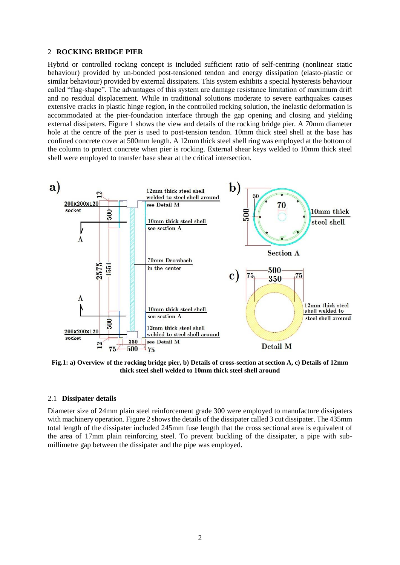#### 2 **ROCKING BRIDGE PIER**

Hybrid or controlled rocking concept is included sufficient ratio of self-centring (nonlinear static behaviour) provided by un-bonded post-tensioned tendon and energy dissipation (elasto-plastic or similar behaviour) provided by external dissipaters. This system exhibits a special hysteresis behaviour called "flag-shape". The advantages of this system are damage resistance limitation of maximum drift and no residual displacement. While in traditional solutions moderate to severe earthquakes causes extensive cracks in plastic hinge region, in the controlled rocking solution, the inelastic deformation is accommodated at the pier-foundation interface through the gap opening and closing and yielding external dissipaters. Figure 1 shows the view and details of the rocking bridge pier. A 70mm diameter hole at the centre of the pier is used to post-tension tendon. 10mm thick steel shell at the base has confined concrete cover at 500mm length. A 12mm thick steel shell ring was employed at the bottom of the column to protect concrete when pier is rocking. External shear keys welded to 10mm thick steel shell were employed to transfer base shear at the critical intersection.



**Fig.1: a) Overview of the rocking bridge pier, b) Details of cross-section at section A, c) Details of 12mm thick steel shell welded to 10mm thick steel shell around** 

#### 2.1 **Dissipater details**

Diameter size of 24mm plain steel reinforcement grade 300 were employed to manufacture dissipaters with machinery operation. Figure 2 shows the details of the dissipater called 3 cut dissipater. The 435mm total length of the dissipater included 245mm fuse length that the cross sectional area is equivalent of the area of 17mm plain reinforcing steel. To prevent buckling of the dissipater, a pipe with submillimetre gap between the dissipater and the pipe was employed.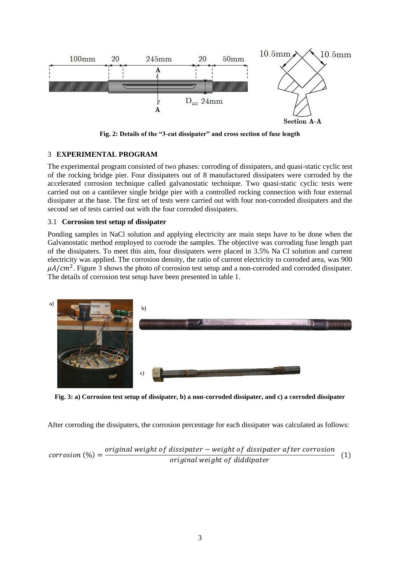

**Fig. 2: Details of the "3-cut dissipater" and cross section of fuse length**

## 3 **EXPERIMENTAL PROGRAM**

The experimental program consisted of two phases: corroding of dissipaters, and quasi-static cyclic test of the rocking bridge pier. Four dissipaters out of 8 manufactured dissipaters were corroded by the accelerated corrosion technique called galvanostatic technique. Two quasi-static cyclic tests were carried out on a cantilever single bridge pier with a controlled rocking connection with four external dissipater at the base. The first set of tests were carried out with four non-corroded dissipaters and the second set of tests carried out with the four corroded dissipaters.

## 3.1 **Corrosion test setup of dissipater**

Ponding samples in NaCl solution and applying electricity are main steps have to be done when the Galvanostatic method employed to corrode the samples. The objective was corroding fuse length part of the dissipaters. To meet this aim, four dissipaters were placed in 3.5% Na Cl solution and current electricity was applied. The corrosion density, the ratio of current electricity to corroded area, was 900  $\mu A/cm^2$ . Figure 3 shows the photo of corrosion test setup and a non-corroded and corroded dissipater. The details of corrosion test setup have been presented in table 1.



**Fig. 3: a) Corrosion test setup of dissipater, b) a non-corroded dissipater, and c) a corroded dissipater**

After corroding the dissipaters, the corrosion percentage for each dissipater was calculated as follows:

$$
corrosion (\%) = \frac{original weight of dissipater - weight of dissipater after corrosion}{original weight of diddipater}
$$
 (1)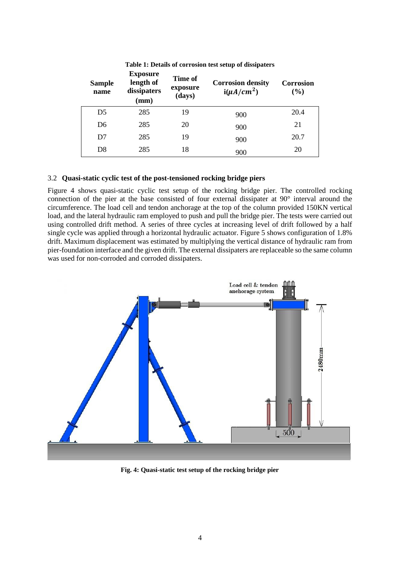| <b>Sample</b><br>name | <b>Exposure</b><br>length of<br>dissipaters<br>(mm) | Time of<br>exposure<br>(days) | <b>Corrosion density</b><br>$i(\mu A/cm^2)$ | Corrosion<br>$(\%)$ |
|-----------------------|-----------------------------------------------------|-------------------------------|---------------------------------------------|---------------------|
| D <sub>5</sub>        | 285                                                 | 19                            | 900                                         | 20.4                |
| D <sub>6</sub>        | 285                                                 | 20                            | 900                                         | 21                  |
| D7                    | 285                                                 | 19                            | 900                                         | 20.7                |
| D8                    | 285                                                 | 18                            | 900                                         | 20                  |

**Table 1: Details of corrosion test setup of dissipaters**

## 3.2 **Quasi-static cyclic test of the post-tensioned rocking bridge piers**

Figure 4 shows quasi-static cyclic test setup of the rocking bridge pier. The controlled rocking connection of the pier at the base consisted of four external dissipater at 90° interval around the circumference. The load cell and tendon anchorage at the top of the column provided 150KN vertical load, and the lateral hydraulic ram employed to push and pull the bridge pier. The tests were carried out using controlled drift method. A series of three cycles at increasing level of drift followed by a half single cycle was applied through a horizontal hydraulic actuator. Figure 5 shows configuration of 1.8% drift. Maximum displacement was estimated by multiplying the vertical distance of hydraulic ram from pier-foundation interface and the given drift. The external dissipaters are replaceable so the same column was used for non-corroded and corroded dissipaters.



**Fig. 4: Quasi-static test setup of the rocking bridge pier**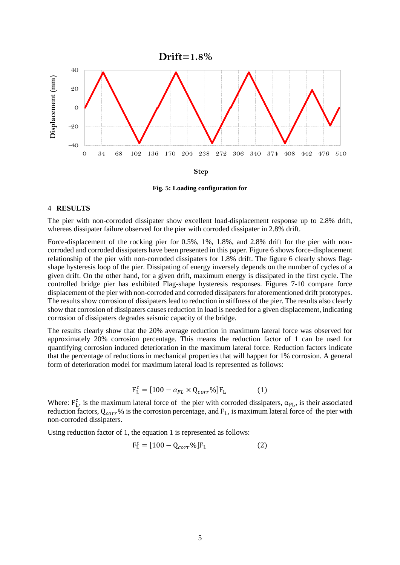

**Fig. 5: Loading configuration for** 

#### 4 **RESULTS**

The pier with non-corroded dissipater show excellent load-displacement response up to 2.8% drift, whereas dissipater failure observed for the pier with corroded dissipater in 2.8% drift.

Force-displacement of the rocking pier for 0.5%, 1%, 1.8%, and 2.8% drift for the pier with noncorroded and corroded dissipaters have been presented in this paper. Figure 6 shows force-displacement relationship of the pier with non-corroded dissipaters for 1.8% drift. The figure 6 clearly shows flagshape hysteresis loop of the pier. Dissipating of energy inversely depends on the number of cycles of a given drift. On the other hand, for a given drift, maximum energy is dissipated in the first cycle. The controlled bridge pier has exhibited Flag-shape hysteresis responses. Figures 7-10 compare force displacement of the pier with non-corroded and corroded dissipaters for aforementioned drift prototypes. The results show corrosion of dissipaters lead to reduction in stiffness of the pier. The results also clearly show that corrosion of dissipaters causes reduction in load is needed for a given displacement, indicating corrosion of dissipaters degrades seismic capacity of the bridge.

The results clearly show that the 20% average reduction in maximum lateral force was observed for approximately 20% corrosion percentage. This means the reduction factor of 1 can be used for quantifying corrosion induced deterioration in the maximum lateral force. Reduction factors indicate that the percentage of reductions in mechanical properties that will happen for 1% corrosion. A general form of deterioration model for maximum lateral load is represented as follows:

$$
\mathbf{F}_{\mathbf{L}}^{\mathbf{c}} = [100 - \alpha_{FL} \times \mathbf{Q}_{corr} \%] \mathbf{F}_{\mathbf{L}} \tag{1}
$$

Where:  $F_L^c$ , is the maximum lateral force of the pier with corroded dissipaters,  $\alpha_{FL}$ , is their associated reduction factors,  $Q_{corr}$ % is the corrosion percentage, and  $F_L$ , is maximum lateral force of the pier with non-corroded dissipaters.

Using reduction factor of 1, the equation 1 is represented as follows:

$$
F_{L}^{c} = [100 - Q_{corr}\%]F_{L}
$$
 (2)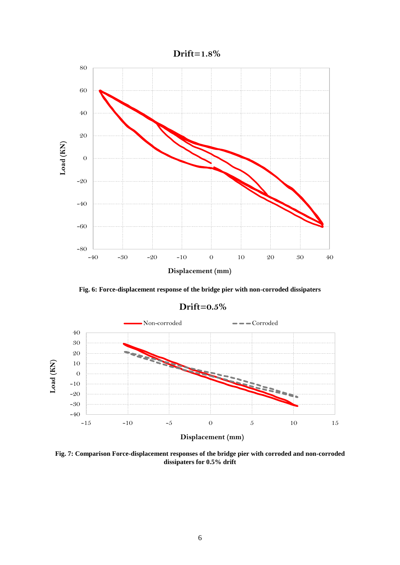

**Fig. 6: Force-displacement response of the bridge pier with non-corroded dissipaters**

-40 -30 -20 -10 0 10 20 30 40  $-15$   $-10$   $-5$  0  $5$  10  $15$ **Load (KN) Displacement (mm)** Non-corroded Corroded

**Drift=0.5%**

**Fig. 7: Comparison Force-displacement responses of the bridge pier with corroded and non-corroded dissipaters for 0.5% drift**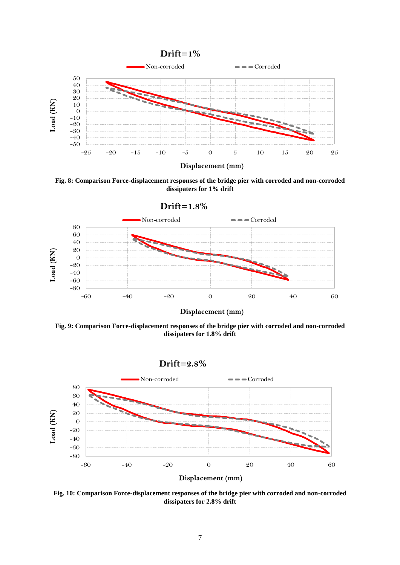

**Fig. 8: Comparison Force-displacement responses of the bridge pier with corroded and non-corroded dissipaters for 1% drift**



**Fig. 9: Comparison Force-displacement responses of the bridge pier with corroded and non-corroded dissipaters for 1.8% drift**



**Fig. 10: Comparison Force-displacement responses of the bridge pier with corroded and non-corroded dissipaters for 2.8% drift**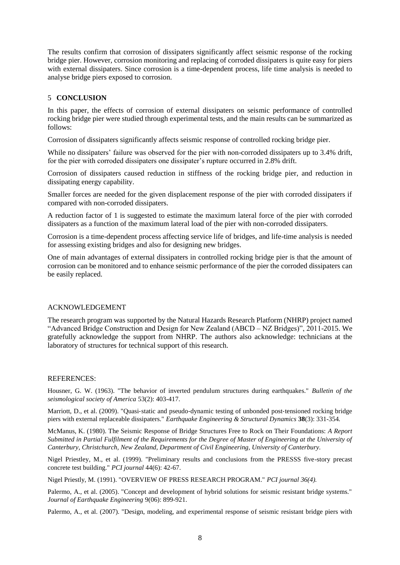The results confirm that corrosion of dissipaters significantly affect seismic response of the rocking bridge pier. However, corrosion monitoring and replacing of corroded dissipaters is quite easy for piers with external dissipaters. Since corrosion is a time-dependent process, life time analysis is needed to analyse bridge piers exposed to corrosion.

## 5 **CONCLUSION**

In this paper, the effects of corrosion of external dissipaters on seismic performance of controlled rocking bridge pier were studied through experimental tests, and the main results can be summarized as follows:

Corrosion of dissipaters significantly affects seismic response of controlled rocking bridge pier.

While no dissipaters' failure was observed for the pier with non-corroded dissipaters up to 3.4% drift, for the pier with corroded dissipaters one dissipater's rupture occurred in 2.8% drift.

Corrosion of dissipaters caused reduction in stiffness of the rocking bridge pier, and reduction in dissipating energy capability.

Smaller forces are needed for the given displacement response of the pier with corroded dissipaters if compared with non-corroded dissipaters.

A reduction factor of 1 is suggested to estimate the maximum lateral force of the pier with corroded dissipaters as a function of the maximum lateral load of the pier with non-corroded dissipaters.

Corrosion is a time-dependent process affecting service life of bridges, and life-time analysis is needed for assessing existing bridges and also for designing new bridges.

One of main advantages of external dissipaters in controlled rocking bridge pier is that the amount of corrosion can be monitored and to enhance seismic performance of the pier the corroded dissipaters can be easily replaced.

#### ACKNOWLEDGEMENT

The research program was supported by the Natural Hazards Research Platform (NHRP) project named "Advanced Bridge Construction and Design for New Zealand (ABCD – NZ Bridges)", 2011-2015. We gratefully acknowledge the support from NHRP. The authors also acknowledge: technicians at the laboratory of structures for technical support of this research.

#### REFERENCES:

<span id="page-7-0"></span>Housner, G. W. (1963). "The behavior of inverted pendulum structures during earthquakes." *Bulletin of the seismological society of America* 53(2): 403-417.

<span id="page-7-6"></span>Marriott, D., et al. (2009). "Quasi-static and pseudo-dynamic testing of unbonded post-tensioned rocking bridge piers with external replaceable dissipaters." *Earthquake Engineering & Structural Dynamics* **38**(3): 331-354*.*

<span id="page-7-1"></span>McManus, K. (1980). The Seismic Response of Bridge Structures Free to Rock on Their Foundations: *A Report Submitted in Partial Fulfilment of the Requirements for the Degree of Master of Engineering at the University of Canterbury, Christchurch, New Zealand, Department of Civil Engineering, University of Canterbury.*

<span id="page-7-3"></span>Nigel Priestley, M., et al. (1999). "Preliminary results and conclusions from the PRESSS five-story precast concrete test building." *PCI journal* 44(6): 42-67.

<span id="page-7-2"></span>Nigel Priestly, M. (1991). "OVERVIEW OF PRESS RESEARCH PROGRAM." *PCI journal 36(4).*

<span id="page-7-4"></span>Palermo, A., et al. (2005). "Concept and development of hybrid solutions for seismic resistant bridge systems." *Journal of Earthquake Engineering* 9(06): 899-921.

<span id="page-7-5"></span>Palermo, A., et al. (2007). "Design, modeling, and experimental response of seismic resistant bridge piers with